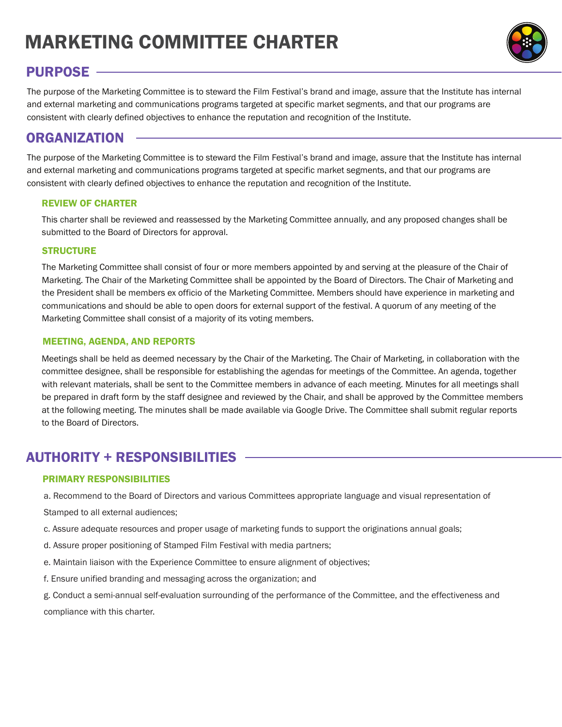# MARKETING COMMITTEE CHARTER

# PURPOSE

The purpose of the Marketing Committee is to steward the Film Festival's brand and image, assure that the Institute has internal and external marketing and communications programs targeted at specific market segments, and that our programs are consistent with clearly defined objectives to enhance the reputation and recognition of the Institute.

## ORGANIZATION

The purpose of the Marketing Committee is to steward the Film Festival's brand and image, assure that the Institute has internal and external marketing and communications programs targeted at specific market segments, and that our programs are consistent with clearly defined objectives to enhance the reputation and recognition of the Institute.

### REVIEW OF CHARTER

This charter shall be reviewed and reassessed by the Marketing Committee annually, and any proposed changes shall be submitted to the Board of Directors for approval.

### **STRUCTURE**

The Marketing Committee shall consist of four or more members appointed by and serving at the pleasure of the Chair of Marketing. The Chair of the Marketing Committee shall be appointed by the Board of Directors. The Chair of Marketing and the President shall be members ex officio of the Marketing Committee. Members should have experience in marketing and communications and should be able to open doors for external support of the festival. A quorum of any meeting of the Marketing Committee shall consist of a majority of its voting members.

## MEETING, AGENDA, AND REPORTS

Meetings shall be held as deemed necessary by the Chair of the Marketing. The Chair of Marketing, in collaboration with the committee designee, shall be responsible for establishing the agendas for meetings of the Committee. An agenda, together with relevant materials, shall be sent to the Committee members in advance of each meeting. Minutes for all meetings shall be prepared in draft form by the staff designee and reviewed by the Chair, and shall be approved by the Committee members at the following meeting. The minutes shall be made available via Google Drive. The Committee shall submit regular reports to the Board of Directors.

## AUTHORITY + RESPONSIBILITIES

## PRIMARY RESPONSIBILITIES

a. Recommend to the Board of Directors and various Committees appropriate language and visual representation of

Stamped to all external audiences;

- c. Assure adequate resources and proper usage of marketing funds to support the originations annual goals;
- d. Assure proper positioning of Stamped Film Festival with media partners;
- e. Maintain liaison with the Experience Committee to ensure alignment of objectives;
- f. Ensure unified branding and messaging across the organization; and

g. Conduct a semi-annual self-evaluation surrounding of the performance of the Committee, and the effectiveness and compliance with this charter.